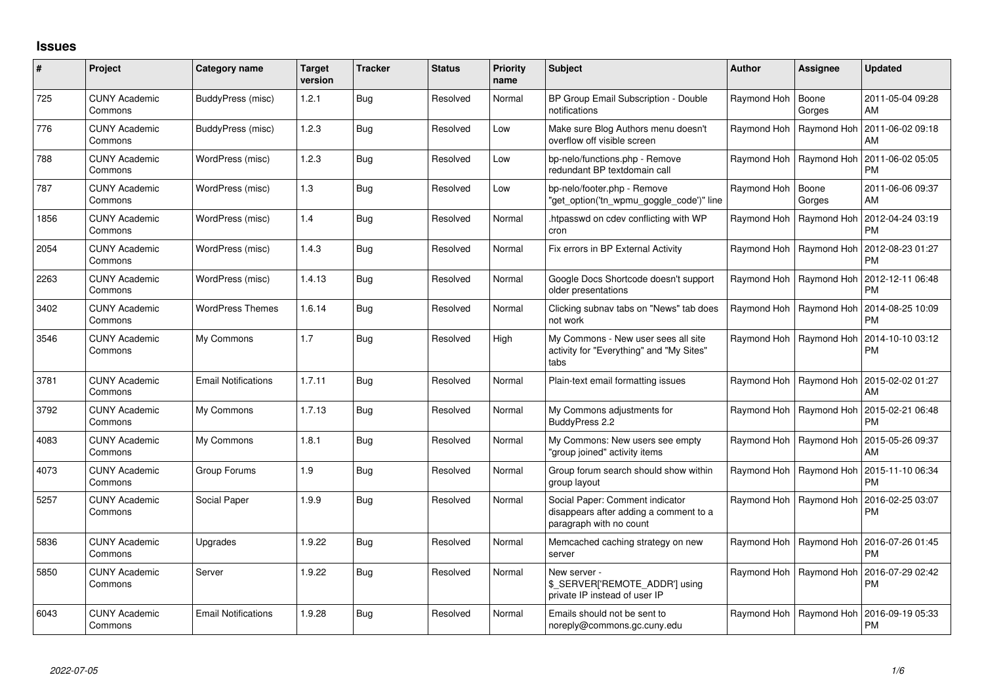## **Issues**

| #    | Project                         | Category name              | <b>Target</b><br>version | <b>Tracker</b> | <b>Status</b> | <b>Priority</b><br>name | Subject                                                                                              | <b>Author</b> | <b>Assignee</b>           | <b>Updated</b>                |
|------|---------------------------------|----------------------------|--------------------------|----------------|---------------|-------------------------|------------------------------------------------------------------------------------------------------|---------------|---------------------------|-------------------------------|
| 725  | <b>CUNY Academic</b><br>Commons | BuddyPress (misc)          | 1.2.1                    | <b>Bug</b>     | Resolved      | Normal                  | BP Group Email Subscription - Double<br>notifications                                                | Raymond Hoh   | Boone<br>Gorges           | 2011-05-04 09:28<br>AM        |
| 776  | <b>CUNY Academic</b><br>Commons | BuddyPress (misc)          | 1.2.3                    | Bua            | Resolved      | Low                     | Make sure Blog Authors menu doesn't<br>overflow off visible screen                                   | Raymond Hoh   | Raymond Hoh               | 2011-06-02 09:18<br>AM        |
| 788  | <b>CUNY Academic</b><br>Commons | WordPress (misc)           | 1.2.3                    | Bua            | Resolved      | Low                     | bp-nelo/functions.php - Remove<br>redundant BP textdomain call                                       |               | Raymond Hoh   Raymond Hoh | 2011-06-02 05:05<br><b>PM</b> |
| 787  | <b>CUNY Academic</b><br>Commons | WordPress (misc)           | 1.3                      | Bug            | Resolved      | Low                     | bp-nelo/footer.php - Remove<br>"get_option('tn_wpmu_goggle_code')" line                              | Raymond Hoh   | Boone<br>Gorges           | 2011-06-06 09:37<br>AM        |
| 1856 | <b>CUNY Academic</b><br>Commons | WordPress (misc)           | 1.4                      | Bug            | Resolved      | Normal                  | htpasswd on cdev conflicting with WP<br>cron                                                         |               | Raymond Hoh   Raymond Hoh | 2012-04-24 03:19<br><b>PM</b> |
| 2054 | <b>CUNY Academic</b><br>Commons | WordPress (misc)           | 1.4.3                    | Bug            | Resolved      | Normal                  | Fix errors in BP External Activity                                                                   |               | Raymond Hoh   Raymond Hoh | 2012-08-23 01:27<br><b>PM</b> |
| 2263 | <b>CUNY Academic</b><br>Commons | WordPress (misc)           | 1.4.13                   | Bug            | Resolved      | Normal                  | Google Docs Shortcode doesn't support<br>older presentations                                         |               | Raymond Hoh   Raymond Hoh | 2012-12-11 06:48<br><b>PM</b> |
| 3402 | <b>CUNY Academic</b><br>Commons | <b>WordPress Themes</b>    | 1.6.14                   | Bug            | Resolved      | Normal                  | Clicking subnav tabs on "News" tab does<br>not work                                                  |               | Raymond Hoh   Raymond Hoh | 2014-08-25 10:09<br><b>PM</b> |
| 3546 | <b>CUNY Academic</b><br>Commons | My Commons                 | 1.7                      | <b>Bug</b>     | Resolved      | High                    | My Commons - New user sees all site<br>activity for "Everything" and "My Sites"<br>tabs              |               | Raymond Hoh   Raymond Hoh | 2014-10-10 03:12<br><b>PM</b> |
| 3781 | <b>CUNY Academic</b><br>Commons | <b>Email Notifications</b> | 1.7.11                   | Bug            | Resolved      | Normal                  | Plain-text email formatting issues                                                                   |               | Raymond Hoh   Raymond Hoh | 2015-02-02 01:27<br>AM        |
| 3792 | <b>CUNY Academic</b><br>Commons | My Commons                 | 1.7.13                   | Bug            | Resolved      | Normal                  | My Commons adjustments for<br>BuddyPress 2.2                                                         |               | Raymond Hoh   Raymond Hoh | 2015-02-21 06:48<br><b>PM</b> |
| 4083 | <b>CUNY Academic</b><br>Commons | My Commons                 | 1.8.1                    | <b>Bug</b>     | Resolved      | Normal                  | My Commons: New users see empty<br>'group joined" activity items                                     |               | Raymond Hoh   Raymond Hoh | 2015-05-26 09:37<br>AM        |
| 4073 | <b>CUNY Academic</b><br>Commons | Group Forums               | 1.9                      | <b>Bug</b>     | Resolved      | Normal                  | Group forum search should show within<br>group layout                                                |               | Raymond Hoh   Raymond Hoh | 2015-11-10 06:34<br><b>PM</b> |
| 5257 | <b>CUNY Academic</b><br>Commons | Social Paper               | 1.9.9                    | <b>Bug</b>     | Resolved      | Normal                  | Social Paper: Comment indicator<br>disappears after adding a comment to a<br>paragraph with no count |               | Raymond Hoh   Raymond Hoh | 2016-02-25 03:07<br><b>PM</b> |
| 5836 | <b>CUNY Academic</b><br>Commons | Upgrades                   | 1.9.22                   | <b>Bug</b>     | Resolved      | Normal                  | Memcached caching strategy on new<br>server                                                          |               | Raymond Hoh   Raymond Hoh | 2016-07-26 01:45<br><b>PM</b> |
| 5850 | <b>CUNY Academic</b><br>Commons | Server                     | 1.9.22                   | <b>Bug</b>     | Resolved      | Normal                  | New server -<br>\$_SERVER['REMOTE_ADDR'] using<br>private IP instead of user IP                      |               | Raymond Hoh   Raymond Hoh | 2016-07-29 02:42<br><b>PM</b> |
| 6043 | <b>CUNY Academic</b><br>Commons | <b>Email Notifications</b> | 1.9.28                   | Bug            | Resolved      | Normal                  | Emails should not be sent to<br>noreply@commons.gc.cuny.edu                                          | Raymond Hoh   | Raymond Hoh               | 2016-09-19 05:33<br><b>PM</b> |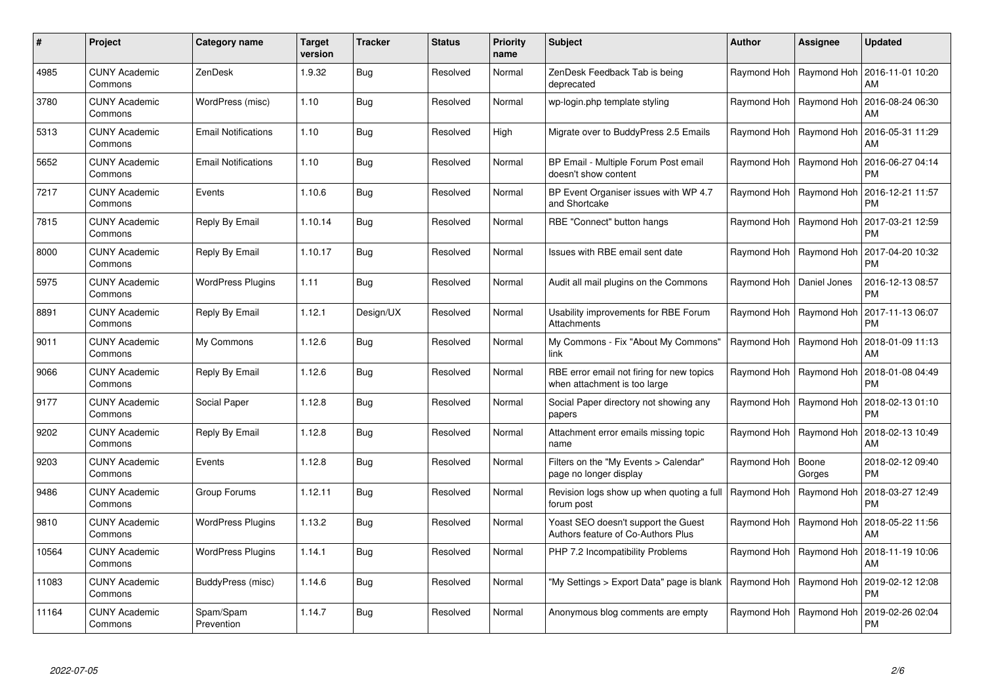| #     | Project                         | <b>Category name</b>       | <b>Target</b><br>version | <b>Tracker</b> | <b>Status</b> | <b>Priority</b><br>name | <b>Subject</b>                                                            | <b>Author</b>              | <b>Assignee</b>           | <b>Updated</b>                                     |
|-------|---------------------------------|----------------------------|--------------------------|----------------|---------------|-------------------------|---------------------------------------------------------------------------|----------------------------|---------------------------|----------------------------------------------------|
| 4985  | <b>CUNY Academic</b><br>Commons | ZenDesk                    | 1.9.32                   | Bug            | Resolved      | Normal                  | ZenDesk Feedback Tab is being<br>deprecated                               | Raymond Hoh   Raymond Hoh  |                           | 2016-11-01 10:20<br>AM                             |
| 3780  | <b>CUNY Academic</b><br>Commons | WordPress (misc)           | 1.10                     | Bug            | Resolved      | Normal                  | wp-login.php template styling                                             |                            | Raymond Hoh   Raymond Hoh | 2016-08-24 06:30<br>AM                             |
| 5313  | <b>CUNY Academic</b><br>Commons | <b>Email Notifications</b> | 1.10                     | Bug            | Resolved      | High                    | Migrate over to BuddyPress 2.5 Emails                                     | Raymond Hoh                | Raymond Hoh               | 2016-05-31 11:29<br>AM                             |
| 5652  | CUNY Academic<br>Commons        | <b>Email Notifications</b> | 1.10                     | Bug            | Resolved      | Normal                  | BP Email - Multiple Forum Post email<br>doesn't show content              |                            | Raymond Hoh   Raymond Hoh | 2016-06-27 04:14<br><b>PM</b>                      |
| 7217  | <b>CUNY Academic</b><br>Commons | Events                     | 1.10.6                   | Bug            | Resolved      | Normal                  | BP Event Organiser issues with WP 4.7<br>and Shortcake                    |                            | Raymond Hoh   Raymond Hoh | 2016-12-21 11:57<br><b>PM</b>                      |
| 7815  | <b>CUNY Academic</b><br>Commons | Reply By Email             | 1.10.14                  | Bug            | Resolved      | Normal                  | RBE "Connect" button hangs                                                |                            | Raymond Hoh   Raymond Hoh | 2017-03-21 12:59<br><b>PM</b>                      |
| 8000  | <b>CUNY Academic</b><br>Commons | Reply By Email             | 1.10.17                  | Bug            | Resolved      | Normal                  | Issues with RBE email sent date                                           |                            | Raymond Hoh   Raymond Hoh | 2017-04-20 10:32<br><b>PM</b>                      |
| 5975  | <b>CUNY Academic</b><br>Commons | <b>WordPress Plugins</b>   | 1.11                     | Bug            | Resolved      | Normal                  | Audit all mail plugins on the Commons                                     | Raymond Hoh   Daniel Jones |                           | 2016-12-13 08:57<br><b>PM</b>                      |
| 8891  | <b>CUNY Academic</b><br>Commons | Reply By Email             | 1.12.1                   | Design/UX      | Resolved      | Normal                  | Usability improvements for RBE Forum<br>Attachments                       |                            | Raymond Hoh   Raymond Hoh | 2017-11-13 06:07<br><b>PM</b>                      |
| 9011  | <b>CUNY Academic</b><br>Commons | My Commons                 | 1.12.6                   | Bug            | Resolved      | Normal                  | My Commons - Fix "About My Commons"<br>link                               | Raymond Hoh   Raymond Hoh  |                           | 2018-01-09 11:13<br>AM                             |
| 9066  | <b>CUNY Academic</b><br>Commons | Reply By Email             | 1.12.6                   | Bug            | Resolved      | Normal                  | RBE error email not firing for new topics<br>when attachment is too large | Raymond Hoh                | Raymond Hoh               | 2018-01-08 04:49<br><b>PM</b>                      |
| 9177  | <b>CUNY Academic</b><br>Commons | Social Paper               | 1.12.8                   | Bug            | Resolved      | Normal                  | Social Paper directory not showing any<br>papers                          | Raymond Hoh                | Raymond Hoh               | 2018-02-13 01:10<br><b>PM</b>                      |
| 9202  | <b>CUNY Academic</b><br>Commons | Reply By Email             | 1.12.8                   | Bug            | Resolved      | Normal                  | Attachment error emails missing topic<br>name                             | Raymond Hoh   Raymond Hoh  |                           | 2018-02-13 10:49<br>AM                             |
| 9203  | <b>CUNY Academic</b><br>Commons | Events                     | 1.12.8                   | Bug            | Resolved      | Normal                  | Filters on the "My Events > Calendar"<br>page no longer display           | Raymond Hoh                | Boone<br>Gorges           | 2018-02-12 09:40<br><b>PM</b>                      |
| 9486  | <b>CUNY Academic</b><br>Commons | Group Forums               | 1.12.11                  | Bug            | Resolved      | Normal                  | Revision logs show up when quoting a full<br>forum post                   | Raymond Hoh                | Raymond Hoh               | 2018-03-27 12:49<br><b>PM</b>                      |
| 9810  | <b>CUNY Academic</b><br>Commons | <b>WordPress Plugins</b>   | 1.13.2                   | Bug            | Resolved      | Normal                  | Yoast SEO doesn't support the Guest<br>Authors feature of Co-Authors Plus |                            |                           | Raymond Hoh   Raymond Hoh   2018-05-22 11:56<br>AM |
| 10564 | <b>CUNY Academic</b><br>Commons | <b>WordPress Plugins</b>   | 1.14.1                   | Bug            | Resolved      | Normal                  | PHP 7.2 Incompatibility Problems                                          |                            | Raymond Hoh   Raymond Hoh | 2018-11-19 10:06<br>AM                             |
| 11083 | <b>CUNY Academic</b><br>Commons | BuddyPress (misc)          | 1.14.6                   | Bug            | Resolved      | Normal                  | 'My Settings > Export Data" page is blank                                 | Raymond Hoh   Raymond Hoh  |                           | 2019-02-12 12:08<br><b>PM</b>                      |
| 11164 | <b>CUNY Academic</b><br>Commons | Spam/Spam<br>Prevention    | 1.14.7                   | Bug            | Resolved      | Normal                  | Anonymous blog comments are empty                                         | Raymond Hoh                | Raymond Hoh               | 2019-02-26 02:04<br><b>PM</b>                      |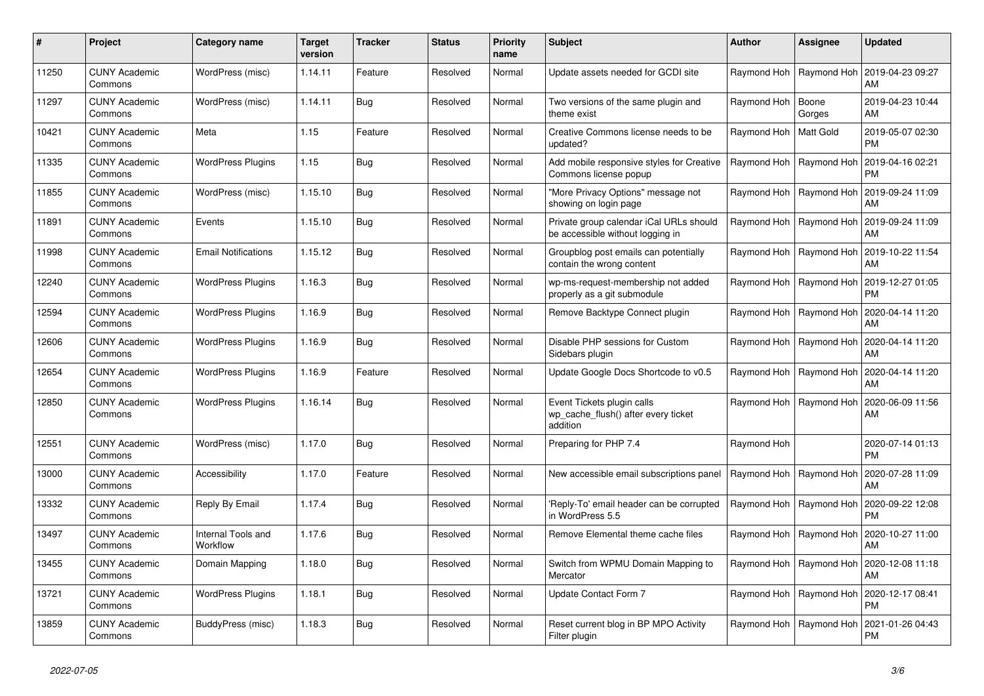| #     | Project                         | Category name                  | <b>Target</b><br>version | <b>Tracker</b> | <b>Status</b> | <b>Priority</b><br>name | <b>Subject</b>                                                                | <b>Author</b>           | Assignee                  | <b>Updated</b>                |
|-------|---------------------------------|--------------------------------|--------------------------|----------------|---------------|-------------------------|-------------------------------------------------------------------------------|-------------------------|---------------------------|-------------------------------|
| 11250 | <b>CUNY Academic</b><br>Commons | WordPress (misc)               | 1.14.11                  | Feature        | Resolved      | Normal                  | Update assets needed for GCDI site                                            |                         | Raymond Hoh   Raymond Hoh | 2019-04-23 09:27<br>AM        |
| 11297 | <b>CUNY Academic</b><br>Commons | WordPress (misc)               | 1.14.11                  | <b>Bug</b>     | Resolved      | Normal                  | Two versions of the same plugin and<br>theme exist                            | Raymond Hoh             | Boone<br>Gorges           | 2019-04-23 10:44<br>AM        |
| 10421 | <b>CUNY Academic</b><br>Commons | Meta                           | 1.15                     | Feature        | Resolved      | Normal                  | Creative Commons license needs to be<br>updated?                              | Raymond Hoh   Matt Gold |                           | 2019-05-07 02:30<br><b>PM</b> |
| 11335 | <b>CUNY Academic</b><br>Commons | <b>WordPress Plugins</b>       | 1.15                     | <b>Bug</b>     | Resolved      | Normal                  | Add mobile responsive styles for Creative<br>Commons license popup            |                         | Raymond Hoh   Raymond Hoh | 2019-04-16 02:21<br><b>PM</b> |
| 11855 | <b>CUNY Academic</b><br>Commons | WordPress (misc)               | 1.15.10                  | Bug            | Resolved      | Normal                  | "More Privacy Options" message not<br>showing on login page                   |                         | Raymond Hoh   Raymond Hoh | 2019-09-24 11:09<br>AM        |
| 11891 | <b>CUNY Academic</b><br>Commons | Events                         | 1.15.10                  | Bug            | Resolved      | Normal                  | Private group calendar iCal URLs should<br>be accessible without logging in   |                         | Raymond Hoh   Raymond Hoh | 2019-09-24 11:09<br>AM        |
| 11998 | <b>CUNY Academic</b><br>Commons | <b>Email Notifications</b>     | 1.15.12                  | <b>Bug</b>     | Resolved      | Normal                  | Groupblog post emails can potentially<br>contain the wrong content            |                         | Raymond Hoh   Raymond Hoh | 2019-10-22 11:54<br>AM        |
| 12240 | <b>CUNY Academic</b><br>Commons | <b>WordPress Plugins</b>       | 1.16.3                   | Bug            | Resolved      | Normal                  | wp-ms-request-membership not added<br>properly as a git submodule             |                         | Raymond Hoh   Raymond Hoh | 2019-12-27 01:05<br><b>PM</b> |
| 12594 | <b>CUNY Academic</b><br>Commons | <b>WordPress Plugins</b>       | 1.16.9                   | <b>Bug</b>     | Resolved      | Normal                  | Remove Backtype Connect plugin                                                |                         | Raymond Hoh   Raymond Hoh | 2020-04-14 11:20<br>AM        |
| 12606 | <b>CUNY Academic</b><br>Commons | <b>WordPress Plugins</b>       | 1.16.9                   | Bug            | Resolved      | Normal                  | Disable PHP sessions for Custom<br>Sidebars plugin                            |                         | Raymond Hoh   Raymond Hoh | 2020-04-14 11:20<br>AM        |
| 12654 | <b>CUNY Academic</b><br>Commons | <b>WordPress Plugins</b>       | 1.16.9                   | Feature        | Resolved      | Normal                  | Update Google Docs Shortcode to v0.5                                          |                         | Raymond Hoh   Raymond Hoh | 2020-04-14 11:20<br>AM        |
| 12850 | <b>CUNY Academic</b><br>Commons | <b>WordPress Plugins</b>       | 1.16.14                  | <b>Bug</b>     | Resolved      | Normal                  | Event Tickets plugin calls<br>wp cache flush() after every ticket<br>addition |                         | Raymond Hoh   Raymond Hoh | 2020-06-09 11:56<br>AM        |
| 12551 | <b>CUNY Academic</b><br>Commons | WordPress (misc)               | 1.17.0                   | <b>Bug</b>     | Resolved      | Normal                  | Preparing for PHP 7.4                                                         | Raymond Hoh             |                           | 2020-07-14 01:13<br><b>PM</b> |
| 13000 | <b>CUNY Academic</b><br>Commons | Accessibility                  | 1.17.0                   | Feature        | Resolved      | Normal                  | New accessible email subscriptions panel                                      |                         | Raymond Hoh   Raymond Hoh | 2020-07-28 11:09<br>AM        |
| 13332 | <b>CUNY Academic</b><br>Commons | Reply By Email                 | 1.17.4                   | Bug            | Resolved      | Normal                  | 'Reply-To' email header can be corrupted<br>in WordPress 5.5                  |                         | Raymond Hoh   Raymond Hoh | 2020-09-22 12:08<br><b>PM</b> |
| 13497 | <b>CUNY Academic</b><br>Commons | Internal Tools and<br>Workflow | 1.17.6                   | <b>Bug</b>     | Resolved      | Normal                  | Remove Elemental theme cache files                                            |                         | Raymond Hoh   Raymond Hoh | 2020-10-27 11:00<br>AM        |
| 13455 | <b>CUNY Academic</b><br>Commons | Domain Mapping                 | 1.18.0                   | <b>Bug</b>     | Resolved      | Normal                  | Switch from WPMU Domain Mapping to<br>Mercator                                |                         | Raymond Hoh   Raymond Hoh | 2020-12-08 11:18<br>AM        |
| 13721 | <b>CUNY Academic</b><br>Commons | <b>WordPress Plugins</b>       | 1.18.1                   | Bug            | Resolved      | Normal                  | Update Contact Form 7                                                         |                         | Raymond Hoh   Raymond Hoh | 2020-12-17 08:41<br><b>PM</b> |
| 13859 | <b>CUNY Academic</b><br>Commons | BuddyPress (misc)              | 1.18.3                   | Bug            | Resolved      | Normal                  | Reset current blog in BP MPO Activity<br>Filter plugin                        |                         | Raymond Hoh   Raymond Hoh | 2021-01-26 04:43<br><b>PM</b> |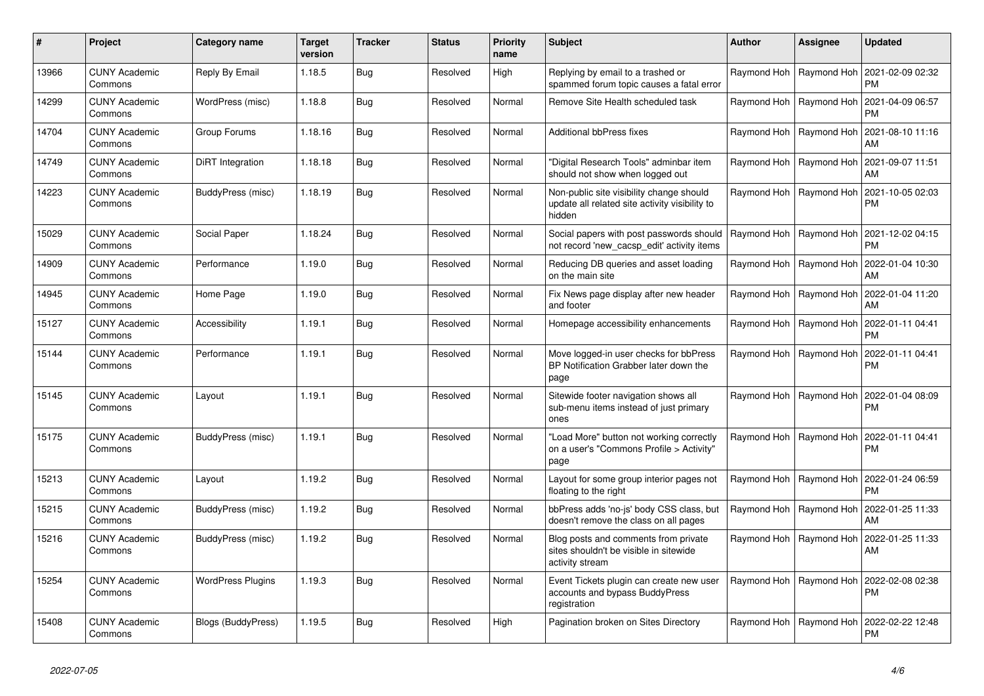| $\pmb{\sharp}$ | <b>Project</b>                  | Category name            | <b>Target</b><br>version | <b>Tracker</b> | <b>Status</b> | <b>Priority</b><br>name | <b>Subject</b>                                                                                       | <b>Author</b> | Assignee                  | <b>Updated</b>                |
|----------------|---------------------------------|--------------------------|--------------------------|----------------|---------------|-------------------------|------------------------------------------------------------------------------------------------------|---------------|---------------------------|-------------------------------|
| 13966          | <b>CUNY Academic</b><br>Commons | Reply By Email           | 1.18.5                   | <b>Bug</b>     | Resolved      | High                    | Replying by email to a trashed or<br>spammed forum topic causes a fatal error                        |               | Raymond Hoh   Raymond Hoh | 2021-02-09 02:32<br><b>PM</b> |
| 14299          | <b>CUNY Academic</b><br>Commons | WordPress (misc)         | 1.18.8                   | Bug            | Resolved      | Normal                  | Remove Site Health scheduled task                                                                    |               | Raymond Hoh   Raymond Hoh | 2021-04-09 06:57<br><b>PM</b> |
| 14704          | <b>CUNY Academic</b><br>Commons | Group Forums             | 1.18.16                  | <b>Bug</b>     | Resolved      | Normal                  | Additional bbPress fixes                                                                             |               | Raymond Hoh   Raymond Hoh | 2021-08-10 11:16<br>AM        |
| 14749          | <b>CUNY Academic</b><br>Commons | DiRT Integration         | 1.18.18                  | Bug            | Resolved      | Normal                  | 'Digital Research Tools" adminbar item<br>should not show when logged out                            |               | Raymond Hoh   Raymond Hoh | 2021-09-07 11:51<br>AM        |
| 14223          | <b>CUNY Academic</b><br>Commons | BuddyPress (misc)        | 1.18.19                  | Bug            | Resolved      | Normal                  | Non-public site visibility change should<br>update all related site activity visibility to<br>hidden |               | Raymond Hoh   Raymond Hoh | 2021-10-05 02:03<br><b>PM</b> |
| 15029          | <b>CUNY Academic</b><br>Commons | Social Paper             | 1.18.24                  | Bug            | Resolved      | Normal                  | Social papers with post passwords should<br>not record 'new_cacsp_edit' activity items               |               | Raymond Hoh   Raymond Hoh | 2021-12-02 04:15<br><b>PM</b> |
| 14909          | <b>CUNY Academic</b><br>Commons | Performance              | 1.19.0                   | <b>Bug</b>     | Resolved      | Normal                  | Reducing DB queries and asset loading<br>on the main site                                            |               | Raymond Hoh   Raymond Hoh | 2022-01-04 10:30<br>AM        |
| 14945          | <b>CUNY Academic</b><br>Commons | Home Page                | 1.19.0                   | <b>Bug</b>     | Resolved      | Normal                  | Fix News page display after new header<br>and footer                                                 |               | Raymond Hoh   Raymond Hoh | 2022-01-04 11:20<br>AM        |
| 15127          | <b>CUNY Academic</b><br>Commons | Accessibility            | 1.19.1                   | Bug            | Resolved      | Normal                  | Homepage accessibility enhancements                                                                  |               | Raymond Hoh   Raymond Hoh | 2022-01-11 04:41<br><b>PM</b> |
| 15144          | <b>CUNY Academic</b><br>Commons | Performance              | 1.19.1                   | Bug            | Resolved      | Normal                  | Move logged-in user checks for bbPress<br>BP Notification Grabber later down the<br>page             |               | Raymond Hoh   Raymond Hoh | 2022-01-11 04:41<br><b>PM</b> |
| 15145          | <b>CUNY Academic</b><br>Commons | Layout                   | 1.19.1                   | <b>Bug</b>     | Resolved      | Normal                  | Sitewide footer navigation shows all<br>sub-menu items instead of just primary<br>ones               |               | Raymond Hoh   Raymond Hoh | 2022-01-04 08:09<br><b>PM</b> |
| 15175          | <b>CUNY Academic</b><br>Commons | BuddyPress (misc)        | 1.19.1                   | Bug            | Resolved      | Normal                  | "Load More" button not working correctly<br>on a user's "Commons Profile > Activity"<br>page         |               | Raymond Hoh   Raymond Hoh | 2022-01-11 04:41<br><b>PM</b> |
| 15213          | <b>CUNY Academic</b><br>Commons | Layout                   | 1.19.2                   | <b>Bug</b>     | Resolved      | Normal                  | Layout for some group interior pages not<br>floating to the right                                    |               | Raymond Hoh   Raymond Hoh | 2022-01-24 06:59<br><b>PM</b> |
| 15215          | <b>CUNY Academic</b><br>Commons | BuddyPress (misc)        | 1.19.2                   | Bug            | Resolved      | Normal                  | bbPress adds 'no-js' body CSS class, but<br>doesn't remove the class on all pages                    |               | Raymond Hoh   Raymond Hoh | 2022-01-25 11:33<br>AM        |
| 15216          | <b>CUNY Academic</b><br>Commons | BuddyPress (misc)        | 1.19.2                   | Bug            | Resolved      | Normal                  | Blog posts and comments from private<br>sites shouldn't be visible in sitewide<br>activity stream    |               | Raymond Hoh   Raymond Hoh | 2022-01-25 11:33<br>AM        |
| 15254          | <b>CUNY Academic</b><br>Commons | <b>WordPress Plugins</b> | 1.19.3                   | <b>Bug</b>     | Resolved      | Normal                  | Event Tickets plugin can create new user<br>accounts and bypass BuddyPress<br>registration           |               | Raymond Hoh   Raymond Hoh | 2022-02-08 02:38<br><b>PM</b> |
| 15408          | <b>CUNY Academic</b><br>Commons | Blogs (BuddyPress)       | 1.19.5                   | Bug            | Resolved      | High                    | Pagination broken on Sites Directory                                                                 |               | Raymond Hoh   Raymond Hoh | 2022-02-22 12:48<br><b>PM</b> |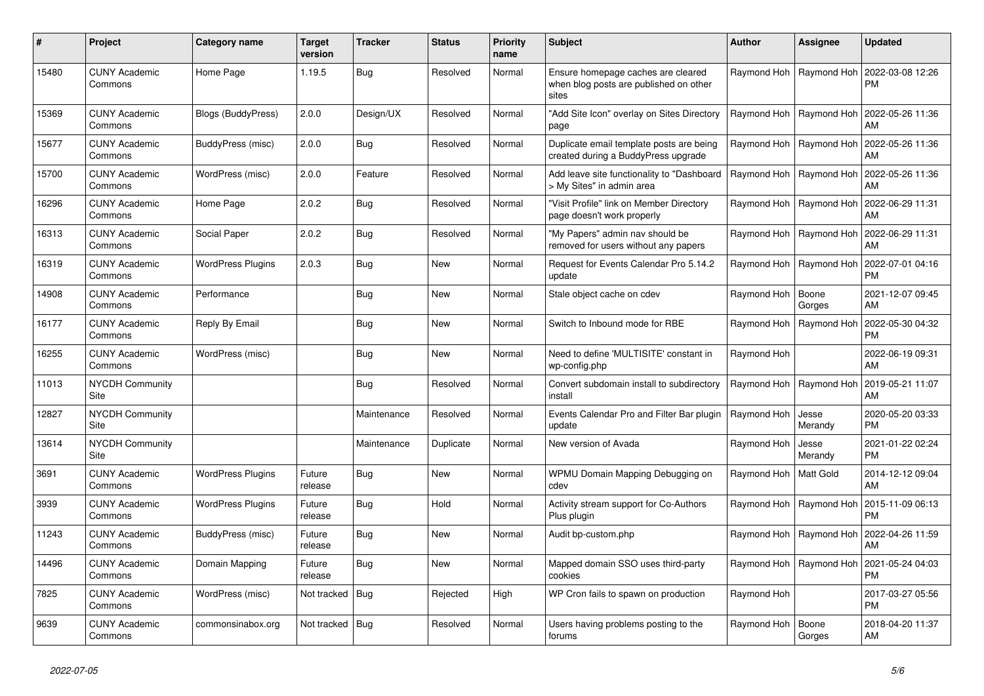| #     | Project                         | Category name             | <b>Target</b><br>version | Tracker     | <b>Status</b> | <b>Priority</b><br>name | <b>Subject</b>                                                                        | <b>Author</b>           | Assignee                  | <b>Updated</b>                                     |
|-------|---------------------------------|---------------------------|--------------------------|-------------|---------------|-------------------------|---------------------------------------------------------------------------------------|-------------------------|---------------------------|----------------------------------------------------|
| 15480 | <b>CUNY Academic</b><br>Commons | Home Page                 | 1.19.5                   | Bug         | Resolved      | Normal                  | Ensure homepage caches are cleared<br>when blog posts are published on other<br>sites |                         | Raymond Hoh   Raymond Hoh | 2022-03-08 12:26<br><b>PM</b>                      |
| 15369 | <b>CUNY Academic</b><br>Commons | <b>Blogs (BuddyPress)</b> | 2.0.0                    | Design/UX   | Resolved      | Normal                  | "Add Site Icon" overlay on Sites Directory<br>page                                    |                         |                           | Raymond Hoh   Raymond Hoh   2022-05-26 11:36<br>AM |
| 15677 | <b>CUNY Academic</b><br>Commons | BuddyPress (misc)         | 2.0.0                    | Bug         | Resolved      | Normal                  | Duplicate email template posts are being<br>created during a BuddyPress upgrade       |                         | Raymond Hoh   Raymond Hoh | 2022-05-26 11:36<br>AM                             |
| 15700 | <b>CUNY Academic</b><br>Commons | WordPress (misc)          | 2.0.0                    | Feature     | Resolved      | Normal                  | Add leave site functionality to "Dashboard<br>> My Sites" in admin area               |                         | Raymond Hoh   Raymond Hoh | 2022-05-26 11:36<br>AM                             |
| 16296 | <b>CUNY Academic</b><br>Commons | Home Page                 | 2.0.2                    | Bug         | Resolved      | Normal                  | 'Visit Profile" link on Member Directory<br>page doesn't work properly                |                         |                           | Raymond Hoh   Raymond Hoh   2022-06-29 11:31<br>AM |
| 16313 | <b>CUNY Academic</b><br>Commons | Social Paper              | 2.0.2                    | <b>Bug</b>  | Resolved      | Normal                  | 'My Papers" admin nav should be<br>removed for users without any papers               |                         | Raymond Hoh   Raymond Hoh | 2022-06-29 11:31<br>AM                             |
| 16319 | <b>CUNY Academic</b><br>Commons | <b>WordPress Plugins</b>  | 2.0.3                    | <b>Bug</b>  | <b>New</b>    | Normal                  | Request for Events Calendar Pro 5.14.2<br>update                                      |                         | Raymond Hoh   Raymond Hoh | 2022-07-01 04:16<br><b>PM</b>                      |
| 14908 | <b>CUNY Academic</b><br>Commons | Performance               |                          | <b>Bug</b>  | <b>New</b>    | Normal                  | Stale object cache on cdev                                                            | Raymond Hoh   Boone     | Gorges                    | 2021-12-07 09:45<br>AM                             |
| 16177 | <b>CUNY Academic</b><br>Commons | Reply By Email            |                          | Bug         | <b>New</b>    | Normal                  | Switch to Inbound mode for RBE                                                        |                         | Raymond Hoh   Raymond Hoh | 2022-05-30 04:32<br><b>PM</b>                      |
| 16255 | <b>CUNY Academic</b><br>Commons | WordPress (misc)          |                          | <b>Bug</b>  | <b>New</b>    | Normal                  | Need to define 'MULTISITE' constant in<br>wp-config.php                               | Raymond Hoh             |                           | 2022-06-19 09:31<br>AM                             |
| 11013 | <b>NYCDH Community</b><br>Site  |                           |                          | Bug         | Resolved      | Normal                  | Convert subdomain install to subdirectory<br>install                                  |                         | Raymond Hoh   Raymond Hoh | 2019-05-21 11:07<br>AM                             |
| 12827 | <b>NYCDH Community</b><br>Site  |                           |                          | Maintenance | Resolved      | Normal                  | Events Calendar Pro and Filter Bar plugin<br>update                                   | Raymond Hoh             | Jesse<br>Merandy          | 2020-05-20 03:33<br><b>PM</b>                      |
| 13614 | <b>NYCDH Community</b><br>Site  |                           |                          | Maintenance | Duplicate     | Normal                  | New version of Avada                                                                  | Raymond Hoh             | Jesse<br>Merandy          | 2021-01-22 02:24<br><b>PM</b>                      |
| 3691  | <b>CUNY Academic</b><br>Commons | <b>WordPress Plugins</b>  | Future<br>release        | <b>Bug</b>  | <b>New</b>    | Normal                  | WPMU Domain Mapping Debugging on<br>cdev                                              | Raymond Hoh   Matt Gold |                           | 2014-12-12 09:04<br>AM                             |
| 3939  | <b>CUNY Academic</b><br>Commons | <b>WordPress Plugins</b>  | Future<br>release        | Bug         | Hold          | Normal                  | Activity stream support for Co-Authors<br>Plus plugin                                 |                         | Raymond Hoh   Raymond Hoh | 2015-11-09 06:13<br><b>PM</b>                      |
| 11243 | <b>CUNY Academic</b><br>Commons | BuddyPress (misc)         | Future<br>release        | <b>Bug</b>  | <b>New</b>    | Normal                  | Audit bp-custom.php                                                                   |                         | Raymond Hoh   Raymond Hoh | 2022-04-26 11:59<br>AM                             |
| 14496 | <b>CUNY Academic</b><br>Commons | Domain Mapping            | Future<br>release        | Bug         | <b>New</b>    | Normal                  | Mapped domain SSO uses third-party<br>cookies                                         |                         | Raymond Hoh   Raymond Hoh | 2021-05-24 04:03<br><b>PM</b>                      |
| 7825  | <b>CUNY Academic</b><br>Commons | WordPress (misc)          | Not tracked   Bug        |             | Rejected      | High                    | WP Cron fails to spawn on production                                                  | Raymond Hoh             |                           | 2017-03-27 05:56<br><b>PM</b>                      |
| 9639  | <b>CUNY Academic</b><br>Commons | commonsinabox.org         | Not tracked   Bug        |             | Resolved      | Normal                  | Users having problems posting to the<br>forums                                        | Raymond Hoh             | Boone<br>Gorges           | 2018-04-20 11:37<br>AM                             |